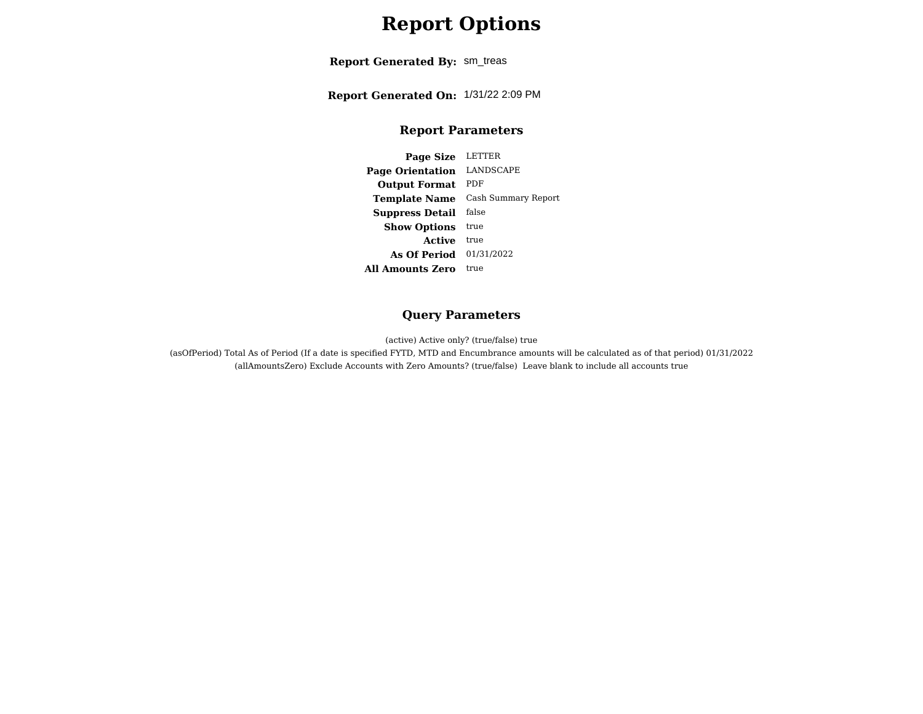# **Report Options**

**Report Generated By:** sm\_treas

**Report Generated On:** 1/31/22 2:09 PM

#### **Report Parameters**

**Page Size** LETTER **Page Orientation** LANDSCAPE **Output Format** PDF **Template Name** Cash Summary Report **Suppress Detail** false**Show Options** true **Active** true **As Of Period** 01/31/2022 **All Amounts Zero** true

#### **Query Parameters**

(active) Active only? (true/false) true

 (asOfPeriod) Total As of Period (If a date is specified FYTD, MTD and Encumbrance amounts will be calculated as of that period) 01/31/2022(allAmountsZero) Exclude Accounts with Zero Amounts? (true/false) Leave blank to include all accounts true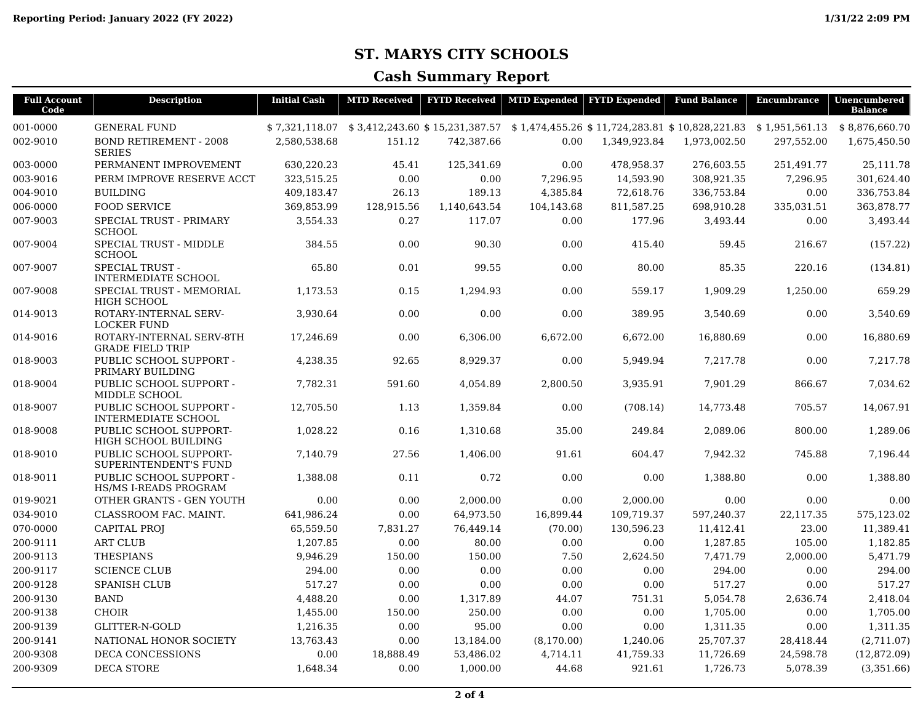## **ST. MARYS CITY SCHOOLS**

## **Cash Summary Report**

| <b>Full Account</b><br>Code | <b>Description</b>                                      | <b>Initial Cash</b> | <b>MTD Received</b> | <b>FYTD Received</b> | <b>MTD Expended</b> | <b>FYTD Expended</b> | <b>Fund Balance</b>                                                                                                | <b>Encumbrance</b> | Unencumbered<br><b>Balance</b> |
|-----------------------------|---------------------------------------------------------|---------------------|---------------------|----------------------|---------------------|----------------------|--------------------------------------------------------------------------------------------------------------------|--------------------|--------------------------------|
| 001-0000                    | <b>GENERAL FUND</b>                                     |                     |                     |                      |                     |                      | $$7,321,118.07$ $$3,412,243.60$ $$15,231,387.57$ $$1,474,455.26$ $$11,724,283.81$ $$10,828,221.83$ $$1,951,561.13$ |                    | \$8,876,660.70                 |
| 002-9010                    | <b>BOND RETIREMENT - 2008</b><br><b>SERIES</b>          | 2,580,538.68        | 151.12              | 742,387.66           | 0.00                | 1,349,923.84         | 1,973,002.50                                                                                                       | 297,552.00         | 1,675,450.50                   |
| 003-0000                    | PERMANENT IMPROVEMENT                                   | 630,220.23          | 45.41               | 125,341.69           | 0.00                | 478,958.37           | 276.603.55                                                                                                         | 251,491.77         | 25,111.78                      |
| 003-9016                    | PERM IMPROVE RESERVE ACCT                               | 323,515.25          | 0.00                | 0.00                 | 7,296.95            | 14,593.90            | 308,921.35                                                                                                         | 7,296.95           | 301,624.40                     |
| 004-9010                    | <b>BUILDING</b>                                         | 409,183.47          | 26.13               | 189.13               | 4,385.84            | 72,618.76            | 336,753.84                                                                                                         | 0.00               | 336,753.84                     |
| 006-0000                    | <b>FOOD SERVICE</b>                                     | 369.853.99          | 128,915.56          | 1,140,643.54         | 104,143.68          | 811,587.25           | 698,910.28                                                                                                         | 335,031.51         | 363,878.77                     |
| 007-9003                    | SPECIAL TRUST - PRIMARY<br><b>SCHOOL</b>                | 3,554.33            | 0.27                | 117.07               | 0.00                | 177.96               | 3,493.44                                                                                                           | 0.00               | 3,493.44                       |
| 007-9004                    | SPECIAL TRUST - MIDDLE<br><b>SCHOOL</b>                 | 384.55              | 0.00                | 90.30                | 0.00                | 415.40               | 59.45                                                                                                              | 216.67             | (157.22)                       |
| 007-9007                    | <b>SPECIAL TRUST -</b><br><b>INTERMEDIATE SCHOOL</b>    | 65.80               | 0.01                | 99.55                | 0.00                | 80.00                | 85.35                                                                                                              | 220.16             | (134.81)                       |
| 007-9008                    | SPECIAL TRUST - MEMORIAL<br>HIGH SCHOOL                 | 1,173.53            | 0.15                | 1,294.93             | 0.00                | 559.17               | 1,909.29                                                                                                           | 1,250.00           | 659.29                         |
| 014-9013                    | ROTARY-INTERNAL SERV-<br><b>LOCKER FUND</b>             | 3,930.64            | 0.00                | 0.00                 | 0.00                | 389.95               | 3,540.69                                                                                                           | 0.00               | 3,540.69                       |
| 014-9016                    | ROTARY-INTERNAL SERV-8TH<br><b>GRADE FIELD TRIP</b>     | 17,246.69           | 0.00                | 6,306.00             | 6,672.00            | 6,672.00             | 16,880.69                                                                                                          | 0.00               | 16,880.69                      |
| 018-9003                    | PUBLIC SCHOOL SUPPORT -<br>PRIMARY BUILDING             | 4,238.35            | 92.65               | 8,929.37             | 0.00                | 5,949.94             | 7,217.78                                                                                                           | 0.00               | 7,217.78                       |
| 018-9004                    | PUBLIC SCHOOL SUPPORT -<br>MIDDLE SCHOOL                | 7,782.31            | 591.60              | 4,054.89             | 2,800.50            | 3,935.91             | 7,901.29                                                                                                           | 866.67             | 7,034.62                       |
| 018-9007                    | PUBLIC SCHOOL SUPPORT -<br><b>INTERMEDIATE SCHOOL</b>   | 12,705.50           | 1.13                | 1,359.84             | 0.00                | (708.14)             | 14,773.48                                                                                                          | 705.57             | 14,067.91                      |
| 018-9008                    | PUBLIC SCHOOL SUPPORT-<br>HIGH SCHOOL BUILDING          | 1,028.22            | 0.16                | 1,310.68             | 35.00               | 249.84               | 2,089.06                                                                                                           | 800.00             | 1,289.06                       |
| 018-9010                    | PUBLIC SCHOOL SUPPORT-<br>SUPERINTENDENT'S FUND         | 7,140.79            | 27.56               | 1,406.00             | 91.61               | 604.47               | 7,942.32                                                                                                           | 745.88             | 7,196.44                       |
| 018-9011                    | PUBLIC SCHOOL SUPPORT -<br><b>HS/MS I-READS PROGRAM</b> | 1,388.08            | 0.11                | 0.72                 | 0.00                | 0.00                 | 1,388.80                                                                                                           | 0.00               | 1,388.80                       |
| 019-9021                    | OTHER GRANTS - GEN YOUTH                                | 0.00                | 0.00                | 2.000.00             | 0.00                | 2,000.00             | 0.00                                                                                                               | 0.00               | 0.00                           |
| 034-9010                    | CLASSROOM FAC. MAINT.                                   | 641,986.24          | 0.00                | 64,973.50            | 16,899.44           | 109.719.37           | 597,240.37                                                                                                         | 22,117.35          | 575.123.02                     |
| 070-0000                    | <b>CAPITAL PROJ</b>                                     | 65,559.50           | 7,831.27            | 76,449.14            | (70.00)             | 130,596.23           | 11,412.41                                                                                                          | 23.00              | 11,389.41                      |
| 200-9111                    | <b>ART CLUB</b>                                         | 1,207.85            | 0.00                | 80.00                | 0.00                | 0.00                 | 1,287.85                                                                                                           | 105.00             | 1,182.85                       |
| 200-9113                    | <b>THESPIANS</b>                                        | 9,946.29            | 150.00              | 150.00               | 7.50                | 2,624.50             | 7,471.79                                                                                                           | 2,000.00           | 5,471.79                       |
| 200-9117                    | <b>SCIENCE CLUB</b>                                     | 294.00              | 0.00                | 0.00                 | 0.00                | 0.00                 | 294.00                                                                                                             | 0.00               | 294.00                         |
| 200-9128                    | <b>SPANISH CLUB</b>                                     | 517.27              | 0.00                | 0.00                 | 0.00                | 0.00                 | 517.27                                                                                                             | 0.00               | 517.27                         |
| 200-9130                    | <b>BAND</b>                                             | 4,488.20            | 0.00                | 1,317.89             | 44.07               | 751.31               | 5,054.78                                                                                                           | 2,636.74           | 2,418.04                       |
| 200-9138                    | <b>CHOIR</b>                                            | 1,455.00            | 150.00              | 250.00               | 0.00                | 0.00                 | 1,705.00                                                                                                           | 0.00               | 1,705.00                       |
| 200-9139                    | GLITTER-N-GOLD                                          | 1,216.35            | 0.00                | 95.00                | 0.00                | 0.00                 | 1,311.35                                                                                                           | 0.00               | 1,311.35                       |
| 200-9141                    | NATIONAL HONOR SOCIETY                                  | 13,763.43           | 0.00                | 13,184.00            | (8,170.00)          | 1,240.06             | 25,707.37                                                                                                          | 28,418.44          | (2,711.07)                     |
| 200-9308                    | <b>DECA CONCESSIONS</b>                                 | 0.00                | 18,888.49           | 53,486.02            | 4,714.11            | 41,759.33            | 11,726.69                                                                                                          | 24,598.78          | (12,872.09)                    |
| 200-9309                    | <b>DECA STORE</b>                                       | 1,648.34            | 0.00                | 1,000.00             | 44.68               | 921.61               | 1,726.73                                                                                                           | 5,078.39           | (3,351.66)                     |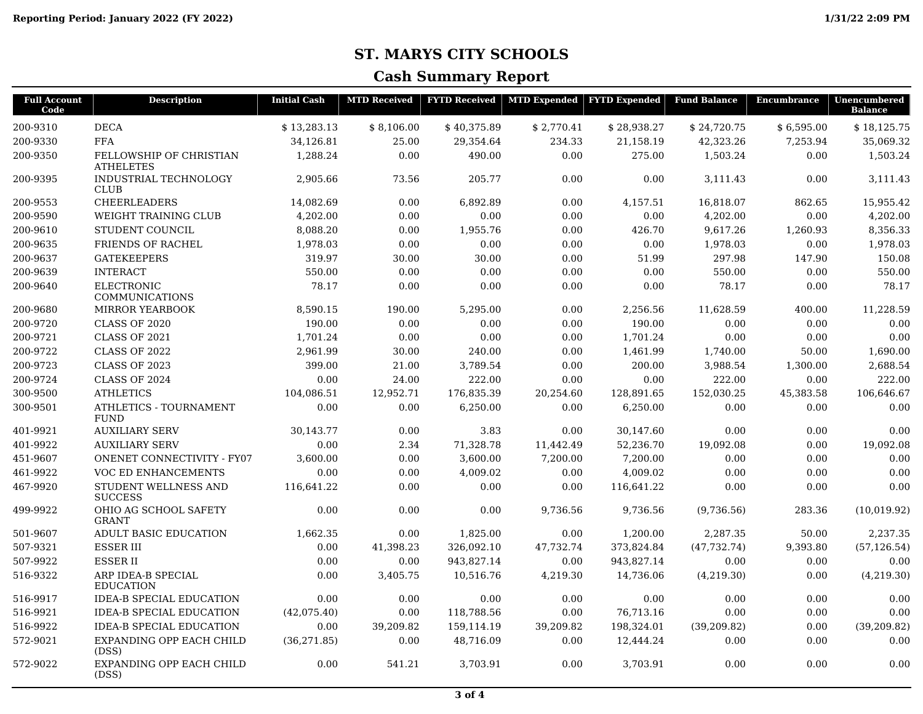## **ST. MARYS CITY SCHOOLS**

## **Cash Summary Report**

| <b>Full Account</b><br>Code | <b>Description</b>                           | <b>Initial Cash</b> | <b>MTD Received</b> |             | <b>FYTD Received</b>   MTD Expended   FYTD Expended |             | <b>Fund Balance</b> | <b>Encumbrance</b> | Unencumbered<br><b>Balance</b> |
|-----------------------------|----------------------------------------------|---------------------|---------------------|-------------|-----------------------------------------------------|-------------|---------------------|--------------------|--------------------------------|
| 200-9310                    | <b>DECA</b>                                  | \$13,283.13         | \$8,106.00          | \$40,375.89 | \$2,770.41                                          | \$28,938.27 | \$24,720.75         | \$6,595.00         | \$18,125.75                    |
| 200-9330                    | <b>FFA</b>                                   | 34,126.81           | 25.00               | 29,354.64   | 234.33                                              | 21,158.19   | 42,323.26           | 7,253.94           | 35,069.32                      |
| 200-9350                    | FELLOWSHIP OF CHRISTIAN<br><b>ATHELETES</b>  | 1,288.24            | 0.00                | 490.00      | 0.00                                                | 275.00      | 1,503.24            | 0.00               | 1,503.24                       |
| 200-9395                    | INDUSTRIAL TECHNOLOGY<br><b>CLUB</b>         | 2,905.66            | 73.56               | 205.77      | 0.00                                                | 0.00        | 3,111.43            | 0.00               | 3,111.43                       |
| 200-9553                    | <b>CHEERLEADERS</b>                          | 14,082.69           | 0.00                | 6,892.89    | 0.00                                                | 4,157.51    | 16,818.07           | 862.65             | 15,955.42                      |
| 200-9590                    | WEIGHT TRAINING CLUB                         | 4,202.00            | 0.00                | 0.00        | 0.00                                                | 0.00        | 4,202.00            | 0.00               | 4,202.00                       |
| 200-9610                    | STUDENT COUNCIL                              | 8,088.20            | 0.00                | 1,955.76    | 0.00                                                | 426.70      | 9,617.26            | 1,260.93           | 8,356.33                       |
| 200-9635                    | <b>FRIENDS OF RACHEL</b>                     | 1,978.03            | 0.00                | 0.00        | 0.00                                                | 0.00        | 1,978.03            | 0.00               | 1,978.03                       |
| 200-9637                    | <b>GATEKEEPERS</b>                           | 319.97              | 30.00               | 30.00       | 0.00                                                | 51.99       | 297.98              | 147.90             | 150.08                         |
| 200-9639                    | <b>INTERACT</b>                              | 550.00              | 0.00                | 0.00        | 0.00                                                | 0.00        | 550.00              | 0.00               | 550.00                         |
| 200-9640                    | <b>ELECTRONIC</b><br><b>COMMUNICATIONS</b>   | 78.17               | 0.00                | 0.00        | 0.00                                                | 0.00        | 78.17               | 0.00               | 78.17                          |
| 200-9680                    | <b>MIRROR YEARBOOK</b>                       | 8,590.15            | 190.00              | 5,295.00    | 0.00                                                | 2,256.56    | 11,628.59           | 400.00             | 11,228.59                      |
| 200-9720                    | <b>CLASS OF 2020</b>                         | 190.00              | 0.00                | 0.00        | 0.00                                                | 190.00      | 0.00                | 0.00               | 0.00                           |
| 200-9721                    | CLASS OF 2021                                | 1,701.24            | 0.00                | 0.00        | 0.00                                                | 1,701.24    | 0.00                | 0.00               | 0.00                           |
| 200-9722                    | <b>CLASS OF 2022</b>                         | 2,961.99            | 30.00               | 240.00      | 0.00                                                | 1,461.99    | 1,740.00            | 50.00              | 1,690.00                       |
| 200-9723                    | CLASS OF 2023                                | 399.00              | 21.00               | 3,789.54    | 0.00                                                | 200.00      | 3,988.54            | 1,300.00           | 2,688.54                       |
| 200-9724                    | <b>CLASS OF 2024</b>                         | 0.00                | 24.00               | 222.00      | 0.00                                                | 0.00        | 222.00              | 0.00               | 222.00                         |
| 300-9500                    | <b>ATHLETICS</b>                             | 104,086.51          | 12,952.71           | 176,835.39  | 20,254.60                                           | 128,891.65  | 152,030.25          | 45,383.58          | 106,646.67                     |
| 300-9501                    | <b>ATHLETICS - TOURNAMENT</b><br><b>FUND</b> | 0.00                | 0.00                | 6,250.00    | 0.00                                                | 6.250.00    | 0.00                | 0.00               | 0.00                           |
| 401-9921                    | <b>AUXILIARY SERV</b>                        | 30,143.77           | 0.00                | 3.83        | 0.00                                                | 30,147.60   | 0.00                | 0.00               | 0.00                           |
| 401-9922                    | <b>AUXILIARY SERV</b>                        | 0.00                | 2.34                | 71,328.78   | 11,442.49                                           | 52,236.70   | 19,092.08           | 0.00               | 19,092.08                      |
| 451-9607                    | <b>ONENET CONNECTIVITY - FY07</b>            | 3.600.00            | 0.00                | 3.600.00    | 7,200.00                                            | 7.200.00    | 0.00                | 0.00               | 0.00                           |
| 461-9922                    | VOC ED ENHANCEMENTS                          | 0.00                | 0.00                | 4,009.02    | 0.00                                                | 4,009.02    | 0.00                | 0.00               | 0.00                           |
| 467-9920                    | STUDENT WELLNESS AND<br><b>SUCCESS</b>       | 116,641.22          | 0.00                | 0.00        | 0.00                                                | 116,641.22  | 0.00                | 0.00               | 0.00                           |
| 499-9922                    | OHIO AG SCHOOL SAFETY<br><b>GRANT</b>        | 0.00                | 0.00                | 0.00        | 9.736.56                                            | 9.736.56    | (9,736.56)          | 283.36             | (10,019.92)                    |
| 501-9607                    | <b>ADULT BASIC EDUCATION</b>                 | 1,662.35            | 0.00                | 1,825.00    | 0.00                                                | 1,200.00    | 2,287.35            | 50.00              | 2,237.35                       |
| 507-9321                    | <b>ESSER III</b>                             | 0.00                | 41,398.23           | 326,092.10  | 47,732.74                                           | 373,824.84  | (47, 732, 74)       | 9,393.80           | (57, 126.54)                   |
| 507-9922                    | <b>ESSERII</b>                               | 0.00                | 0.00                | 943,827.14  | 0.00                                                | 943,827.14  | 0.00                | 0.00               | 0.00                           |
| 516-9322                    | ARP IDEA-B SPECIAL<br><b>EDUCATION</b>       | 0.00                | 3,405.75            | 10,516.76   | 4,219.30                                            | 14,736.06   | (4,219.30)          | 0.00               | (4,219.30)                     |
| 516-9917                    | <b>IDEA-B SPECIAL EDUCATION</b>              | 0.00                | 0.00                | 0.00        | 0.00                                                | 0.00        | 0.00                | 0.00               | 0.00                           |
| 516-9921                    | <b>IDEA-B SPECIAL EDUCATION</b>              | (42,075.40)         | 0.00                | 118,788.56  | 0.00                                                | 76,713.16   | 0.00                | 0.00               | 0.00                           |
| 516-9922                    | <b>IDEA-B SPECIAL EDUCATION</b>              | 0.00                | 39,209.82           | 159,114.19  | 39,209.82                                           | 198,324.01  | (39, 209.82)        | 0.00               | (39, 209.82)                   |
| 572-9021                    | EXPANDING OPP EACH CHILD<br>(DSS)            | (36, 271.85)        | 0.00                | 48,716.09   | 0.00                                                | 12,444.24   | 0.00                | 0.00               | 0.00                           |
| 572-9022                    | EXPANDING OPP EACH CHILD<br>(DSS)            | 0.00                | 541.21              | 3,703.91    | 0.00                                                | 3,703.91    | 0.00                | 0.00               | 0.00                           |